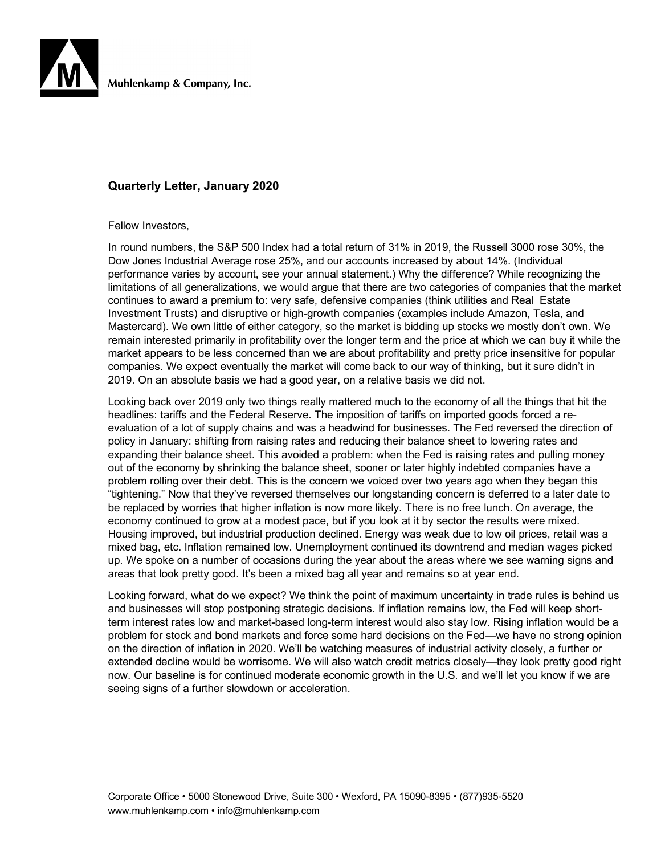

Muhlenkamp & Company, Inc.

### **Quarterly Letter, January 2020**

Fellow Investors,

In round numbers, the S&P 500 Index had a total return of 31% in 2019, the Russell 3000 rose 30%, the Dow Jones Industrial Average rose 25%, and our accounts increased by about 14%. (Individual performance varies by account, see your annual statement.) Why the difference? While recognizing the limitations of all generalizations, we would argue that there are two categories of companies that the market continues to award a premium to: very safe, defensive companies (think utilities and Real Estate Investment Trusts) and disruptive or high-growth companies (examples include Amazon, Tesla, and Mastercard). We own little of either category, so the market is bidding up stocks we mostly don't own. We remain interested primarily in profitability over the longer term and the price at which we can buy it while the market appears to be less concerned than we are about profitability and pretty price insensitive for popular companies. We expect eventually the market will come back to our way of thinking, but it sure didn't in 2019. On an absolute basis we had a good year, on a relative basis we did not.

Looking back over 2019 only two things really mattered much to the economy of all the things that hit the headlines: tariffs and the Federal Reserve. The imposition of tariffs on imported goods forced a reevaluation of a lot of supply chains and was a headwind for businesses. The Fed reversed the direction of policy in January: shifting from raising rates and reducing their balance sheet to lowering rates and expanding their balance sheet. This avoided a problem: when the Fed is raising rates and pulling money out of the economy by shrinking the balance sheet, sooner or later highly indebted companies have a problem rolling over their debt. This is the concern we voiced over two years ago when they began this "tightening." Now that they've reversed themselves our longstanding concern is deferred to a later date to be replaced by worries that higher inflation is now more likely. There is no free lunch. On average, the economy continued to grow at a modest pace, but if you look at it by sector the results were mixed. Housing improved, but industrial production declined. Energy was weak due to low oil prices, retail was a mixed bag, etc. Inflation remained low. Unemployment continued its downtrend and median wages picked up. We spoke on a number of occasions during the year about the areas where we see warning signs and areas that look pretty good. It's been a mixed bag all year and remains so at year end.

Looking forward, what do we expect? We think the point of maximum uncertainty in trade rules is behind us and businesses will stop postponing strategic decisions. If inflation remains low, the Fed will keep shortterm interest rates low and market-based long-term interest would also stay low. Rising inflation would be a problem for stock and bond markets and force some hard decisions on the Fed—we have no strong opinion on the direction of inflation in 2020. We'll be watching measures of industrial activity closely, a further or extended decline would be worrisome. We will also watch credit metrics closely—they look pretty good right now. Our baseline is for continued moderate economic growth in the U.S. and we'll let you know if we are seeing signs of a further slowdown or acceleration.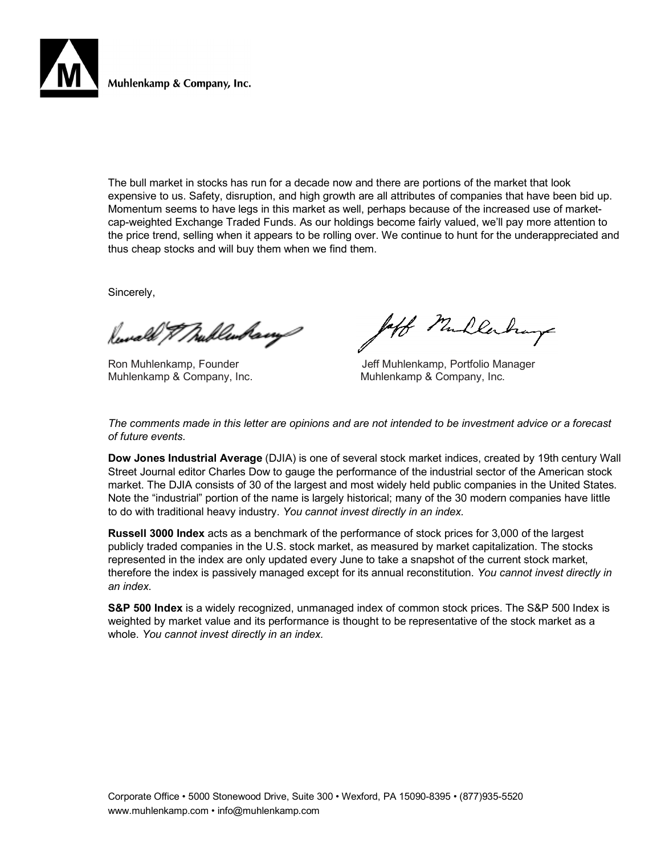

Muhlenkamp & Company, Inc.

The bull market in stocks has run for a decade now and there are portions of the market that look expensive to us. Safety, disruption, and high growth are all attributes of companies that have been bid up. Momentum seems to have legs in this market as well, perhaps because of the increased use of marketcap-weighted Exchange Traded Funds. As our holdings become fairly valued, we'll pay more attention to the price trend, selling when it appears to be rolling over. We continue to hunt for the underappreciated and thus cheap stocks and will buy them when we find them.

Sincerely,

Reward & Mullenham

Muhlenkamp & Company, Inc. The Muhlenkamp & Company, Inc.

off Mullerhay

Ron Muhlenkamp, Founder **Jeff Muhlenkamp, Portfolio Manager** 

*The comments made in this letter are opinions and are not intended to be investment advice or a forecast of future events.*

**Dow Jones Industrial Average** (DJIA) is one of several stock market indices, created by 19th century Wall Street Journal editor Charles Dow to gauge the performance of the industrial sector of the American stock market. The DJIA consists of 30 of the largest and most widely held public companies in the United States. Note the "industrial" portion of the name is largely historical; many of the 30 modern companies have little to do with traditional heavy industry. *You cannot invest directly in an index.*

**Russell 3000 Index** acts as a benchmark of the performance of stock prices for 3,000 of the largest publicly traded companies in the U.S. stock market, as measured by market capitalization. The stocks represented in the index are only updated every June to take a snapshot of the current stock market, therefore the index is passively managed except for its annual reconstitution. *You cannot invest directly in an index.*

**S&P 500 Index** is a widely recognized, unmanaged index of common stock prices. The S&P 500 Index is weighted by market value and its performance is thought to be representative of the stock market as a whole. *You cannot invest directly in an index.*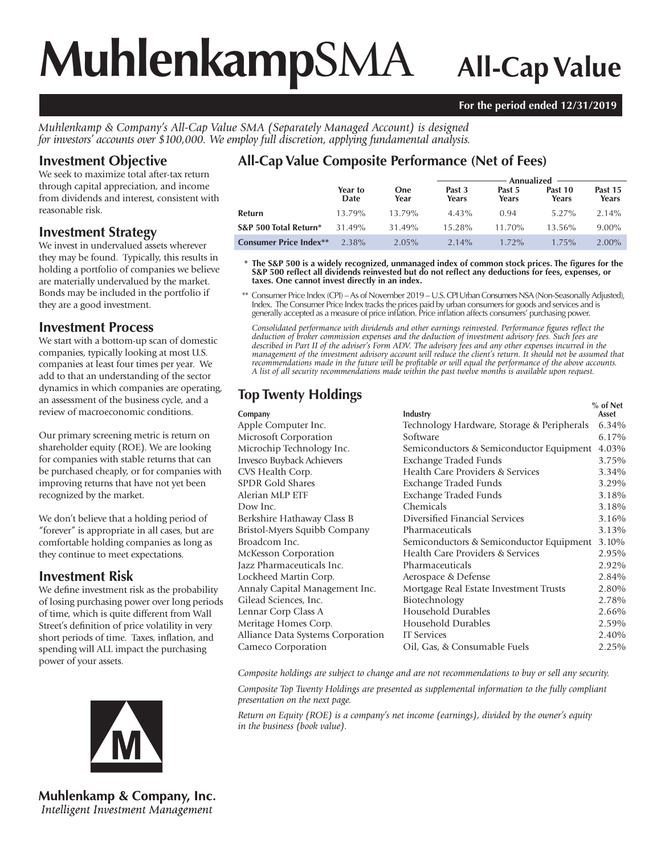# **Muhlenkamp**SMA **All-Cap Value**

### **For the period ended 12/31/2019**

*Muhlenkamp & Company's All-Cap Value SMA (Separately Managed Account) is designed for investors' accounts over \$100,000. We employ full discretion, applying fundamental analysis.*

### **Investment Objective**

We seek to maximize total after-tax return through capital appreciation, and income from dividends and interest, consistent with reasonable risk.

### **Investment Strategy**

We invest in undervalued assets wherever they may be found. Typically, this results in holding a portfolio of companies we believe are materially undervalued by the market. Bonds may be included in the portfolio if they are a good investment.

### **Investment Process**

We start with a bottom-up scan of domestic companies, typically looking at most U.S. companies at least four times per year. We add to that an understanding of the sector dynamics in which companies are operating, an assessment of the business cycle, and a review of macroeconomic conditions.

Our primary screening metric is return on shareholder equity (ROE). We are looking for companies with stable returns that can be purchased cheaply, or for companies with improving returns that have not yet been recognized by the market.

We don't believe that a holding period of "forever" is appropriate in all cases, but are comfortable holding companies as long as they continue to meet expectations.

### **Investment Risk**

We define investment risk as the probability of losing purchasing power over long periods of time, which is quite different from Wall Street's definition of price volatility in very short periods of time. Taxes, inflation, and spending will ALL impact the purchasing power of your assets.



**Muhlenkamp & Company, Inc.** Intelligent Investment Management

## **All-Cap Value Composite Performance (Net of Fees)**

|                               |                 | Annualized $-$     |                 |                 |                  |                  |
|-------------------------------|-----------------|--------------------|-----------------|-----------------|------------------|------------------|
|                               | Year to<br>Date | <b>One</b><br>Year | Past 3<br>Years | Past 5<br>Years | Past 10<br>Years | Past 15<br>Years |
| Refurn                        | 13.79%          | 13.79%             | $4.43\%$        | 0.94            | $5.27\%$         | $2.14\%$         |
| S&P 500 Total Return*         | 31.49%          | 31.49%             | 15.28%          | $11.70\%$       | $13.56\%$        | $9.00\%$         |
| <b>Consumer Price Index**</b> | 2.38%           | $2.05\%$           | $2.14\%$        | $1.72\%$        | $1.75\%$         | $2.00\%$         |

 **\* The S&P 500 is a widely recognized, unmanaged index of common stock prices. The figures for the S&P 500 reflect all dividends reinvested but do not reflect any deductions for fees, expenses, or taxes. One cannot invest directly in an index.**

 \*\* Consumer Price Index (CPI) – As of November 2019 – U.S. CPI Urban Consumers NSA (Non-Seasonally Adjusted), Index. The Consumer Price Index tracks the prices paid by urban consumers for goods and services and is generally accepted as a measure of price inflation. Price inflation affects consumers' purchasing power.

*Consolidated performance with dividends and other earnings reinvested. Performance figures reflect the deduction of broker commission expenses and the deduction of investment advisory fees. Such fees are described in Part II of the adviser's Form ADV. The advisory fees and any other expenses incurred in the management of the investment advisory account will reduce the client's return. It should not be assumed that recommendations made in the future will be profitable or will equal the performance of the above accounts. A list of all security recommendations made within the past twelve months is available upon request.*

| <b>Top Twenty Holdings</b>        |                                            |                     |
|-----------------------------------|--------------------------------------------|---------------------|
| Company                           | Industry                                   | $%$ of Net<br>Asset |
| Apple Computer Inc.               | Technology Hardware, Storage & Peripherals | 6.34%               |
| Microsoft Corporation             | Software                                   | 6.17%               |
| Microchip Technology Inc.         | Semiconductors & Semiconductor Equipment   | 4.03%               |
| Invesco Buyback Achievers         | Exchange Traded Funds                      | 3.75%               |
| CVS Health Corp.                  | Health Care Providers & Services           | 3.34%               |
| <b>SPDR Gold Shares</b>           | Exchange Traded Funds                      | 3.29%               |
| Alerian MLP ETF                   | <b>Exchange Traded Funds</b>               | 3.18%               |
| Dow Inc.                          | Chemicals                                  | 3.18%               |
| Berkshire Hathaway Class B        | Diversified Financial Services             | 3.16%               |
| Bristol-Myers Squibb Company      | Pharmaceuticals                            | 3.13%               |
| Broadcom Inc.                     | Semiconductors & Semiconductor Equipment   | 3.10%               |
| McKesson Corporation              | Health Care Providers & Services           | 2.95%               |
| Jazz Pharmaceuticals Inc.         | Pharmaceuticals                            | 2.92%               |
| Lockheed Martin Corp.             | Aerospace & Defense                        | 2.84%               |
| Annaly Capital Management Inc.    | Mortgage Real Estate Investment Trusts     | 2.80%               |
| Gilead Sciences, Inc.             | Biotechnology                              | 2.78%               |
| Lennar Corp Class A               | Household Durables                         | 2.66%               |
| Meritage Homes Corp.              | Household Durables                         | 2.59%               |
| Alliance Data Systems Corporation | <b>IT Services</b>                         | 2.40%               |
| Cameco Corporation                | Oil, Gas, & Consumable Fuels               | 2.25%               |

*Composite holdings are subject to change and are not recommendations to buy or sell any security.*

*Composite Top Twenty Holdings are presented as supplemental information to the fully compliant presentation on the next page.*

*Return on Equity (ROE) is a company's net income (earnings), divided by the owner's equity in the business (book value).*